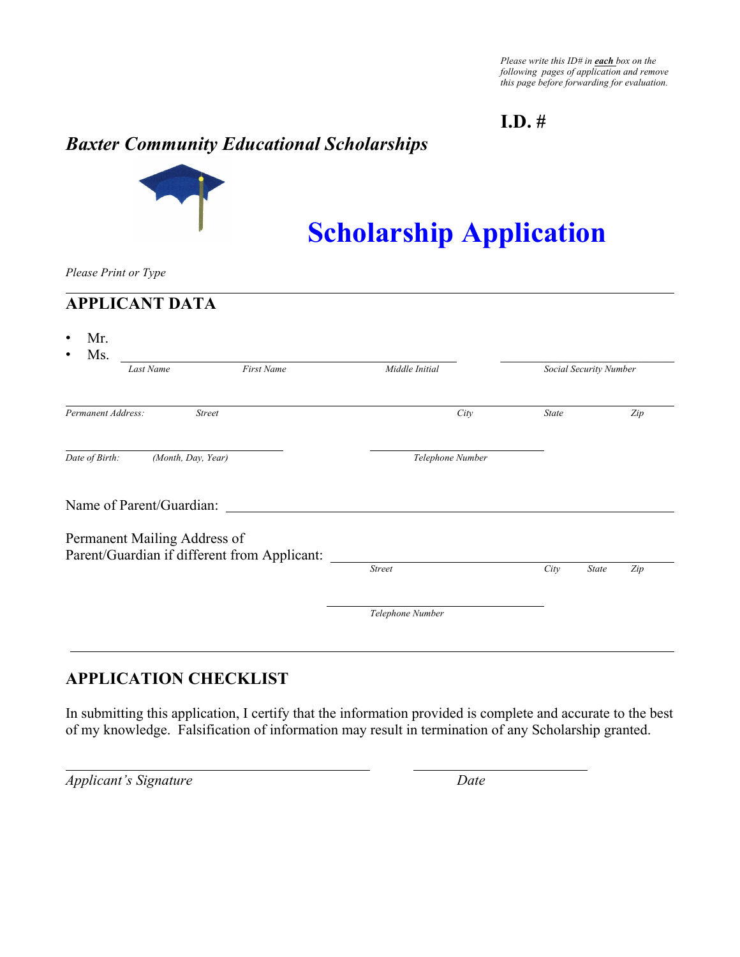*Please write this ID# in each box on the following pages of application and remove this page before forwarding for evaluation.*

### **I.D. #**

# *Baxter Community Educational Scholarships*



# **Scholarship Application**

*Please Print or Type*

### **APPLICANT DATA**

| Last Name                                                                    | <b>First Name</b> | Middle Initial   | Social Security Number |              |     |
|------------------------------------------------------------------------------|-------------------|------------------|------------------------|--------------|-----|
| Permanent Address:                                                           | <b>Street</b>     | City             | <b>State</b>           |              | Zip |
| Date of Birth:<br>(Month, Day, Year)                                         |                   | Telephone Number |                        |              |     |
| Name of Parent/Guardian:                                                     |                   |                  |                        |              |     |
| Permanent Mailing Address of<br>Parent/Guardian if different from Applicant: |                   |                  |                        |              |     |
|                                                                              |                   | <b>Street</b>    | City                   | <b>State</b> | Zip |
|                                                                              |                   | Telephone Number |                        |              |     |

### **APPLICATION CHECKLIST**

In submitting this application, I certify that the information provided is complete and accurate to the best of my knowledge. Falsification of information may result in termination of any Scholarship granted.

*Applicant's Signature Date*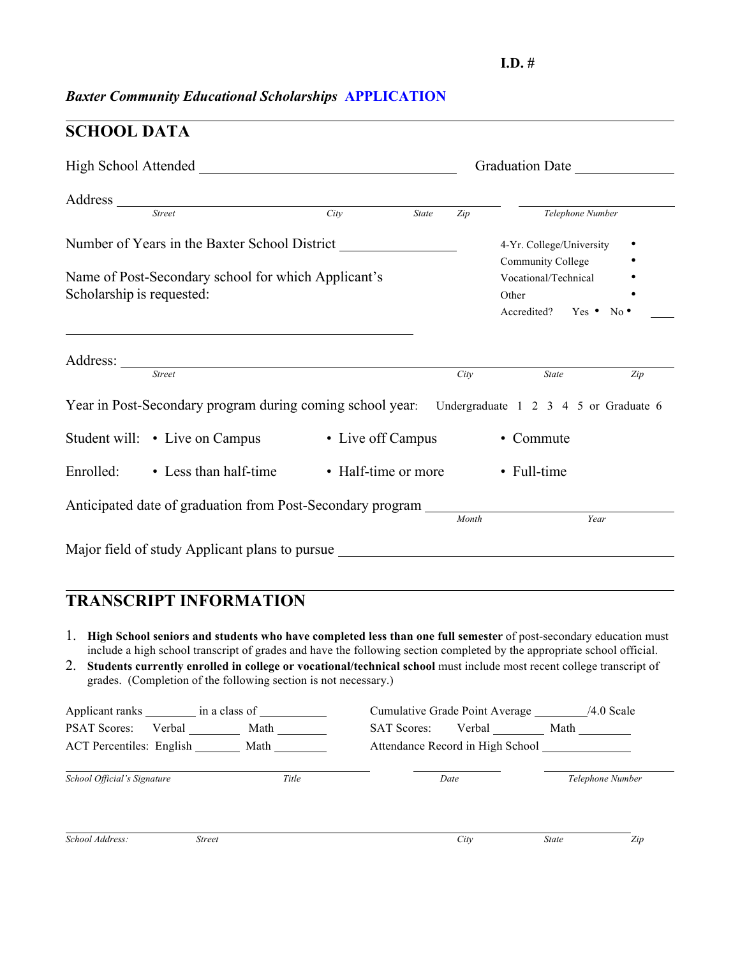#### **I.D. #**

# *Baxter Community Educational Scholarships* **APPLICATION**

# **SCHOOL DATA**

| High School Attended National School Attended |                       |                                                                                                                                                                                         |                     |       | Graduation Date |                      |                                                    |     |
|-----------------------------------------------|-----------------------|-----------------------------------------------------------------------------------------------------------------------------------------------------------------------------------------|---------------------|-------|-----------------|----------------------|----------------------------------------------------|-----|
| Address Street                                |                       |                                                                                                                                                                                         |                     |       |                 |                      |                                                    |     |
|                                               |                       |                                                                                                                                                                                         | City                | State | Zip             |                      | Telephone Number                                   |     |
|                                               |                       | Number of Years in the Baxter School District                                                                                                                                           |                     |       |                 |                      | 4-Yr. College/University                           |     |
|                                               |                       |                                                                                                                                                                                         |                     |       |                 | Community College    |                                                    |     |
|                                               |                       | Name of Post-Secondary school for which Applicant's                                                                                                                                     |                     |       |                 | Vocational/Technical |                                                    |     |
| Scholarship is requested:                     |                       |                                                                                                                                                                                         |                     |       |                 | Other                |                                                    |     |
|                                               |                       |                                                                                                                                                                                         |                     |       |                 |                      | Accredited? Yes • No •                             |     |
|                                               |                       |                                                                                                                                                                                         |                     |       |                 |                      |                                                    |     |
|                                               |                       | Address: <u>Street</u>                                                                                                                                                                  |                     |       | City            |                      | State                                              | Zip |
|                                               |                       | Year in Post-Secondary program during coming school year.                                                                                                                               |                     |       |                 |                      | Undergraduate 1 2 3 4 5 or Graduate 6              |     |
| Student will: • Live on Campus                |                       |                                                                                                                                                                                         | • Live off Campus   |       |                 | • Commute            |                                                    |     |
| Enrolled:                                     | • Less than half-time |                                                                                                                                                                                         | • Half-time or more |       |                 | • Full-time          |                                                    |     |
|                                               |                       |                                                                                                                                                                                         |                     |       |                 |                      |                                                    |     |
|                                               |                       |                                                                                                                                                                                         |                     |       |                 |                      | Year                                               |     |
|                                               |                       |                                                                                                                                                                                         |                     |       |                 |                      |                                                    |     |
|                                               |                       | Major field of study Applicant plans to pursue                                                                                                                                          |                     |       |                 |                      |                                                    |     |
|                                               |                       |                                                                                                                                                                                         |                     |       |                 |                      |                                                    |     |
|                                               |                       | <b>TRANSCRIPT INFORMATION</b>                                                                                                                                                           |                     |       |                 |                      |                                                    |     |
|                                               |                       |                                                                                                                                                                                         |                     |       |                 |                      |                                                    |     |
|                                               |                       | 1. High School seniors and students who have completed less than one full semester of post-secondary education must                                                                     |                     |       |                 |                      |                                                    |     |
|                                               |                       | include a high school transcript of grades and have the following section completed by the appropriate school official.                                                                 |                     |       |                 |                      |                                                    |     |
| 2.                                            |                       | Students currently enrolled in college or vocational/technical school must include most recent college transcript of<br>grades. (Completion of the following section is not necessary.) |                     |       |                 |                      |                                                    |     |
|                                               |                       |                                                                                                                                                                                         |                     |       |                 |                      |                                                    |     |
|                                               |                       | Applicant ranks _________ in a class of _________                                                                                                                                       |                     |       |                 |                      | Cumulative Grade Point Average ________ /4.0 Scale |     |
| <b>PSAT Scores:</b>                           |                       | Verbal Math                                                                                                                                                                             | <b>SAT Scores:</b>  |       |                 |                      | Verbal Math                                        |     |
|                                               |                       |                                                                                                                                                                                         |                     |       |                 |                      | Attendance Record in High School                   |     |
|                                               |                       | ACT Percentiles: English Math                                                                                                                                                           |                     |       |                 |                      |                                                    |     |
| School Official's Signature                   |                       | Title                                                                                                                                                                                   |                     | Date  |                 |                      | Telephone Number                                   |     |
|                                               |                       |                                                                                                                                                                                         |                     |       |                 |                      |                                                    |     |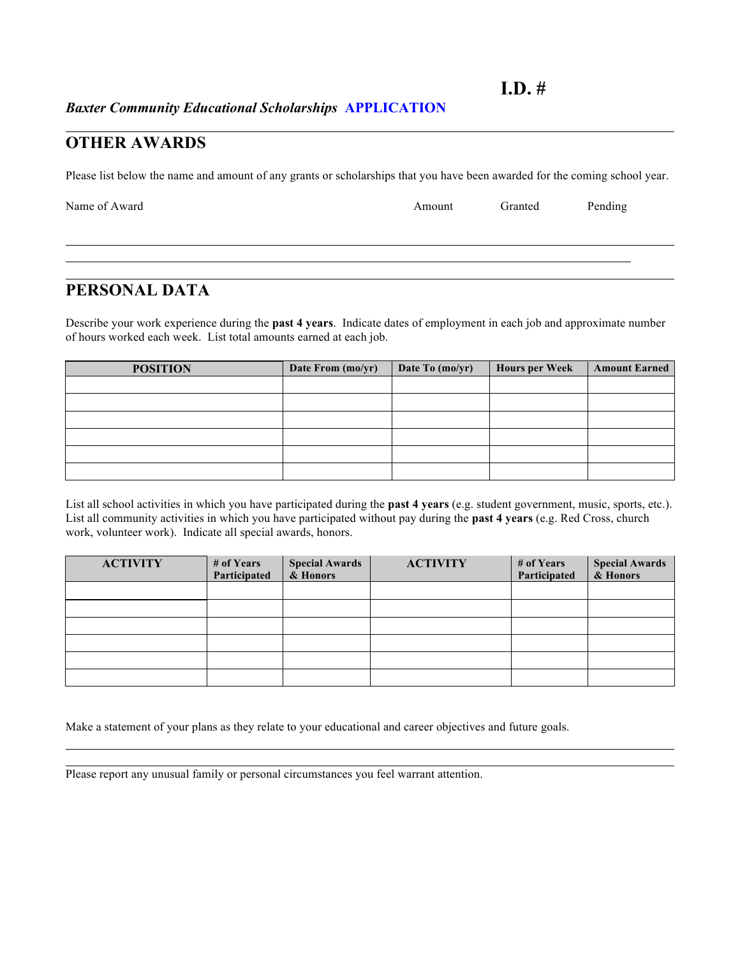*Baxter Community Educational Scholarships* **APPLICATION**

#### **OTHER AWARDS**

Please list below the name and amount of any grants or scholarships that you have been awarded for the coming school year.

| Name of Award | Amount | Granted | Pending |
|---------------|--------|---------|---------|
|               |        |         |         |

### **PERSONAL DATA**

Describe your work experience during the **past 4 years**. Indicate dates of employment in each job and approximate number of hours worked each week. List total amounts earned at each job.

| <b>POSITION</b> | Date From (mo/yr) | Date To (mo/yr) | <b>Hours per Week</b> | <b>Amount Earned</b> |
|-----------------|-------------------|-----------------|-----------------------|----------------------|
|                 |                   |                 |                       |                      |
|                 |                   |                 |                       |                      |
|                 |                   |                 |                       |                      |
|                 |                   |                 |                       |                      |
|                 |                   |                 |                       |                      |
|                 |                   |                 |                       |                      |

List all school activities in which you have participated during the **past 4 years** (e.g. student government, music, sports, etc.). List all community activities in which you have participated without pay during the **past 4 years** (e.g. Red Cross, church work, volunteer work). Indicate all special awards, honors.

| <b>ACTIVITY</b> | # of Years<br>Participated | <b>Special Awards</b><br>& Honors | <b>ACTIVITY</b> | # of Years<br>Participated | <b>Special Awards</b><br>& Honors |
|-----------------|----------------------------|-----------------------------------|-----------------|----------------------------|-----------------------------------|
|                 |                            |                                   |                 |                            |                                   |
|                 |                            |                                   |                 |                            |                                   |
|                 |                            |                                   |                 |                            |                                   |
|                 |                            |                                   |                 |                            |                                   |
|                 |                            |                                   |                 |                            |                                   |
|                 |                            |                                   |                 |                            |                                   |

Make a statement of your plans as they relate to your educational and career objectives and future goals.

Please report any unusual family or personal circumstances you feel warrant attention.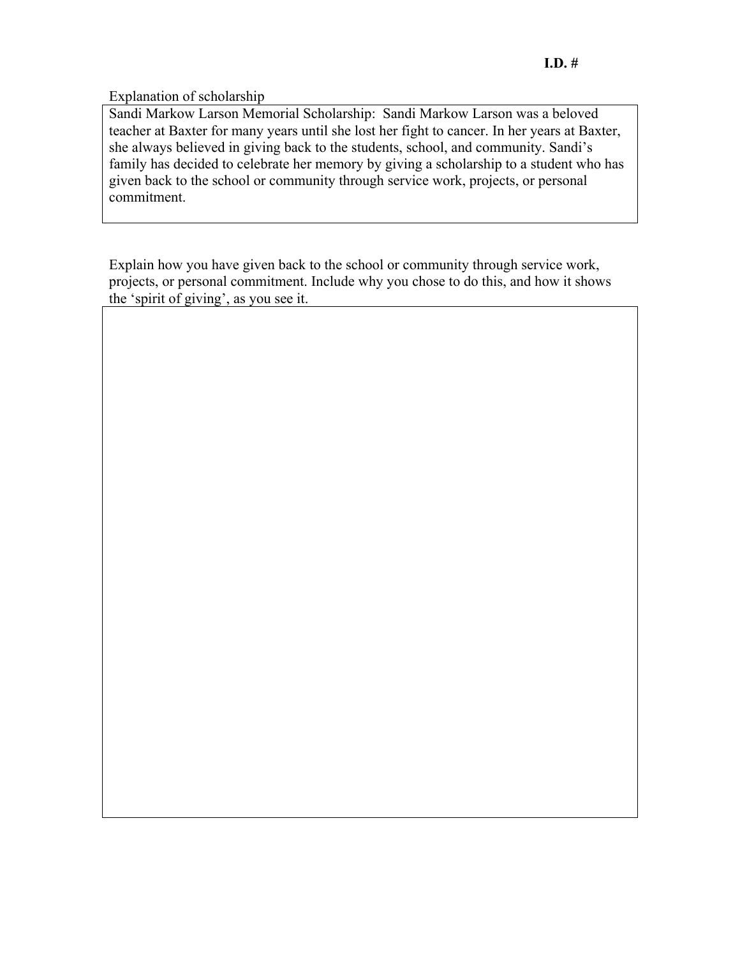Explanation of scholarship

Sandi Markow Larson Memorial Scholarship: Sandi Markow Larson was a beloved teacher at Baxter for many years until she lost her fight to cancer. In her years at Baxter, she always believed in giving back to the students, school, and community. Sandi's family has decided to celebrate her memory by giving a scholarship to a student who has given back to the school or community through service work, projects, or personal commitment.

Explain how you have given back to the school or community through service work, projects, or personal commitment. Include why you chose to do this, and how it shows the 'spirit of giving', as you see it.